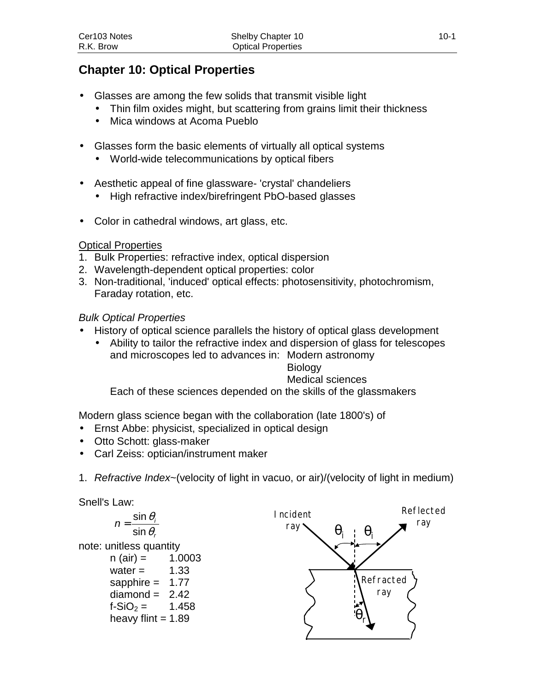# **Chapter 10: Optical Properties**

- Glasses are among the few solids that transmit visible light
	- Thin film oxides might, but scattering from grains limit their thickness
	- Mica windows at Acoma Pueblo
- Glasses form the basic elements of virtually all optical systems
	- World-wide telecommunications by optical fibers
- Aesthetic appeal of fine glassware- 'crystal' chandeliers
	- High refractive index/birefringent PbO-based glasses
- Color in cathedral windows, art glass, etc.

## Optical Properties

- 1. Bulk Properties: refractive index, optical dispersion
- 2. Wavelength-dependent optical properties: color
- 3. Non-traditional, 'induced' optical effects: photosensitivity, photochromism, Faraday rotation, etc.

## *Bulk Optical Properties*

- History of optical science parallels the history of optical glass development
	- Ability to tailor the refractive index and dispersion of glass for telescopes and microscopes led to advances in: Modern astronomy

## Biology

## Medical sciences

Each of these sciences depended on the skills of the glassmakers

Modern glass science began with the collaboration (late 1800's) of

- Ernst Abbe: physicist, specialized in optical design
- Otto Schott: glass-maker
- Carl Zeiss: optician/instrument maker
- 1. *Refractive Index*~(velocity of light in vacuo, or air)/(velocity of light in medium)

Snell's Law:

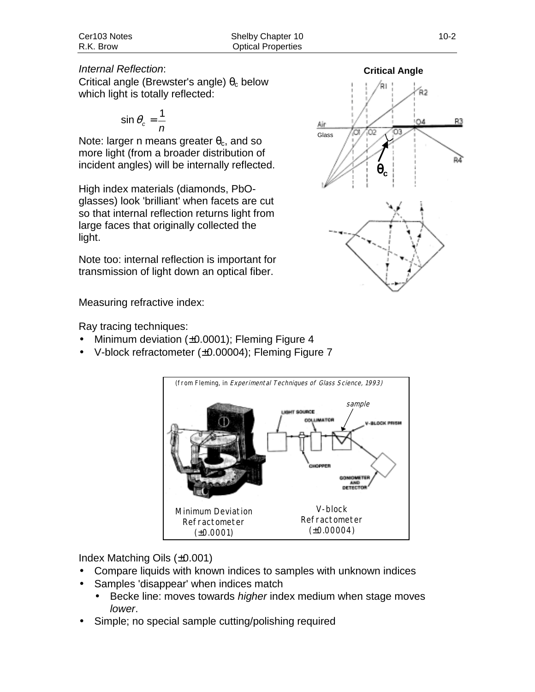#### *Internal Reflection*:

Critical angle (Brewster's angle)  $\theta_c$  below which light is totally reflected:

$$
\sin \theta_c = \frac{1}{n}
$$

Note: larger n means greater  $\theta_c$ , and so more light (from a broader distribution of incident angles) will be internally reflected.

High index materials (diamonds, PbOglasses) look 'brilliant' when facets are cut so that internal reflection returns light from large faces that originally collected the light.

Note too: internal reflection is important for transmission of light down an optical fiber.

Measuring refractive index:

Ray tracing techniques:

- Minimum deviation  $(\pm 0.0001)$ ; Fleming Figure 4
- V-block refractometer (±0.00004); Fleming Figure 7



Index Matching Oils (±0.001)

- Compare liquids with known indices to samples with unknown indices
- Samples 'disappear' when indices match
	- Becke line: moves towards *higher* index medium when stage moves *lower*.
- Simple; no special sample cutting/polishing required

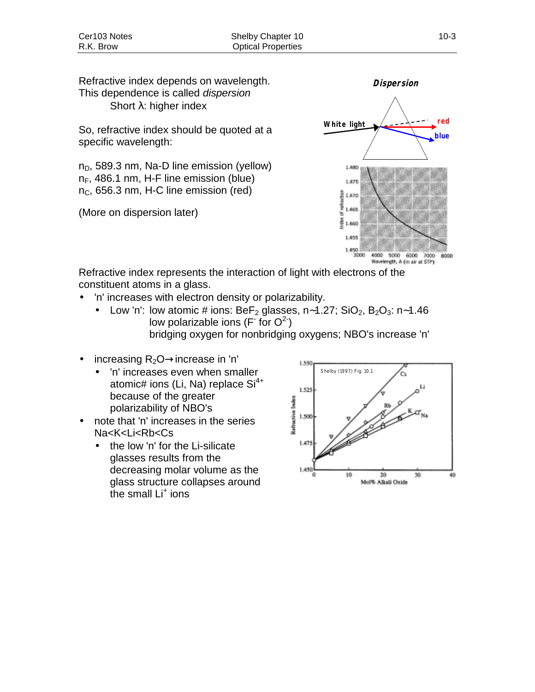Refractive index depends on wavelength. This dependence is called *dispersion* Short λ: higher index

So, refractive index should be quoted at a specific wavelength:

 $n_D$ , 589.3 nm, Na-D line emission (yellow)  $n_F$ , 486.1 nm, H-F line emission (blue)  $n<sub>C</sub>$ , 656.3 nm, H-C line emission (red)

(More on dispersion later)



Refractive index represents the interaction of light with electrons of the constituent atoms in a glass.

- 'n' increases with electron density or polarizability.
	- Low 'n': low atomic # ions: BeF<sub>2</sub> glasses, n∼1.27; SiO<sub>2</sub>, B<sub>2</sub>O<sub>3</sub>: n∼1.46 low polarizable ions (F<sup>-</sup> for  $O^2$ ) bridging oxygen for nonbridging oxygens; NBO's increase 'n'
- increasing  $R_2O \rightarrow$ increase in 'n'
	- 'n' increases even when smaller atomic# ions (Li, Na) replace  $Si<sup>4+</sup>$ because of the greater polarizability of NBO's
- note that 'n' increases in the series Na<K<Li<Rb<Cs
	- the low 'n' for the Li-silicate glasses results from the decreasing molar volume as the glass structure collapses around the small Li<sup>+</sup> ions

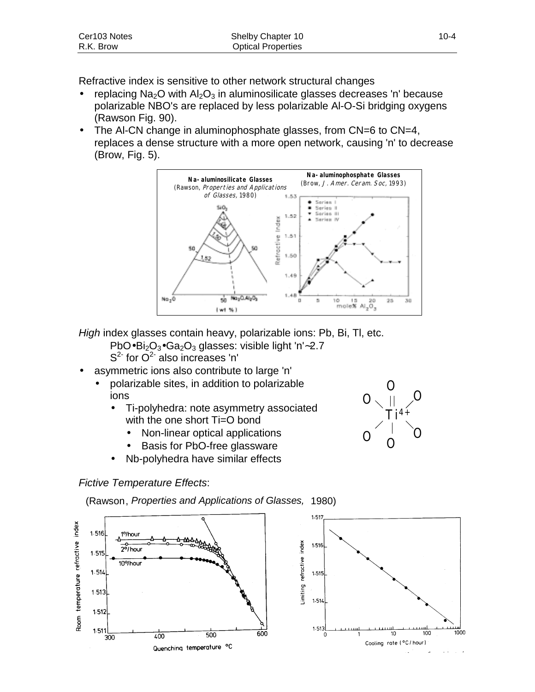| Cer103 Notes | Shelby Chapter 10         | $10 - 4$ |
|--------------|---------------------------|----------|
| R.K. Brow    | <b>Optical Properties</b> |          |

Refractive index is sensitive to other network structural changes

- replacing  $Na<sub>2</sub>O$  with  $Al<sub>2</sub>O<sub>3</sub>$  in aluminosilicate glasses decreases 'n' because polarizable NBO's are replaced by less polarizable Al-O-Si bridging oxygens (Rawson Fig. 90).
- The AI-CN change in aluminophosphate glasses, from CN=6 to CN=4, replaces a dense structure with a more open network, causing 'n' to decrease (Brow, Fig. 5).



*High* index glasses contain heavy, polarizable ions: Pb, Bi, Tl, etc.

- PbO•Bi<sub>2</sub>O<sub>3</sub>•Ga<sub>2</sub>O<sub>3</sub> glasses: visible light 'n'∼2.7  $S<sup>2</sup>$  for  $O<sup>2</sup>$  also increases 'n'
- asymmetric ions also contribute to large 'n'
	- polarizable sites, in addition to polarizable ions
		- Ti-polyhedra: note asymmetry associated with the one short Ti=O bond
			- Non-linear optical applications
			- Basis for PbO-free glassware
		- Nb-polyhedra have similar effects

## *Fictive Temperature Effects*:

(Rawson, *Properties and Applications of Glasses,* 1980)





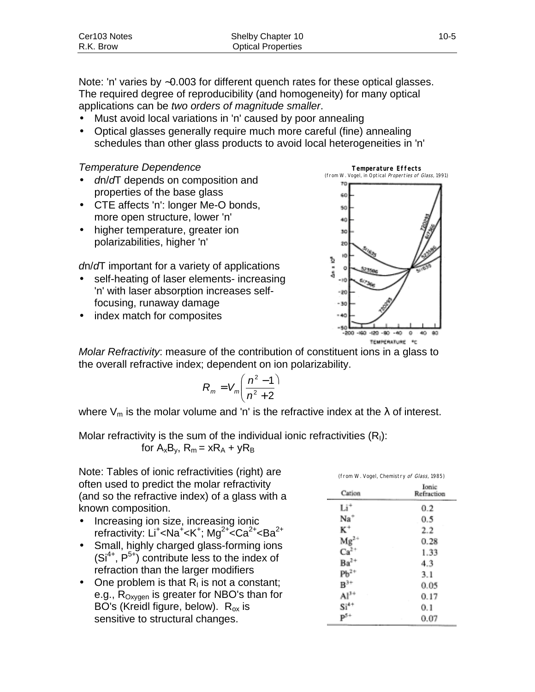Note: 'n' varies by ∼0.003 for different quench rates for these optical glasses. The required degree of reproducibility (and homogeneity) for many optical applications can be *two orders of magnitude smaller*.

- Must avoid local variations in 'n' caused by poor annealing
- Optical glasses generally require much more careful (fine) annealing schedules than other glass products to avoid local heterogeneities in 'n'

#### *Temperature Dependence*

- *d*n/*d*T depends on composition and properties of the base glass
- CTE affects 'n': longer Me-O bonds, more open structure, lower 'n'
- higher temperature, greater ion polarizabilities, higher 'n'

*d*n/*d*T important for a variety of applications

- self-heating of laser elements- increasing 'n' with laser absorption increases selffocusing, runaway damage
- index match for composites



*Molar Refractivity*: measure of the contribution of constituent ions in a glass to the overall refractive index; dependent on ion polarizability.

$$
R_m = V_m \left( \frac{n^2 - 1}{n^2 + 2} \right)
$$

where  $V_m$  is the molar volume and 'n' is the refractive index at the  $\lambda$  of interest.

Molar refractivity is the sum of the individual ionic refractivities  $(R<sub>1</sub>)$ : for  $A_xB_y$ ,  $R_m = xR_A + yR_B$ 

Note: Tables of ionic refractivities (right) are often used to predict the molar refractivity (and so the refractive index) of a glass with a known composition.

- Increasing ion size, increasing ionic refractivity: Li<sup>+</sup><Na<sup>+</sup><K<sup>+</sup>; Mg<sup>2+</sup><Ca<sup>2+</sup><Ba<sup>2+</sup>
- Small, highly charged glass-forming ions  $(Si^{4+}, P^{5+})$  contribute less to the index of refraction than the larger modifiers
- One problem is that  $R<sub>1</sub>$  is not a constant; e.g.,  $R_{Oxygen}$  is greater for NBO's than for BO's (Kreidl figure, below).  $R_{ox}$  is sensitive to structural changes.

|                    | (from W. Vogel, Chemistry of Glass, 1985) |
|--------------------|-------------------------------------------|
| Cation             | Ionic<br>Refraction                       |
| Ŀi*                | 0.2                                       |
| Na                 | 0.5                                       |
| ĸ.                 | 2.2                                       |
| Ms                 | 0.28                                      |
| Ca <sup>2</sup>    | 1.33                                      |
| $Ba2+$             | 4.3                                       |
| Ph <sup>2</sup>    | 3.1                                       |
| $\mathbf{B}^{st}$  | 0.05                                      |
|                    | 0.17                                      |
| $\mathrm{Si}^{4+}$ | 0.1                                       |
|                    | $_{0.07}$                                 |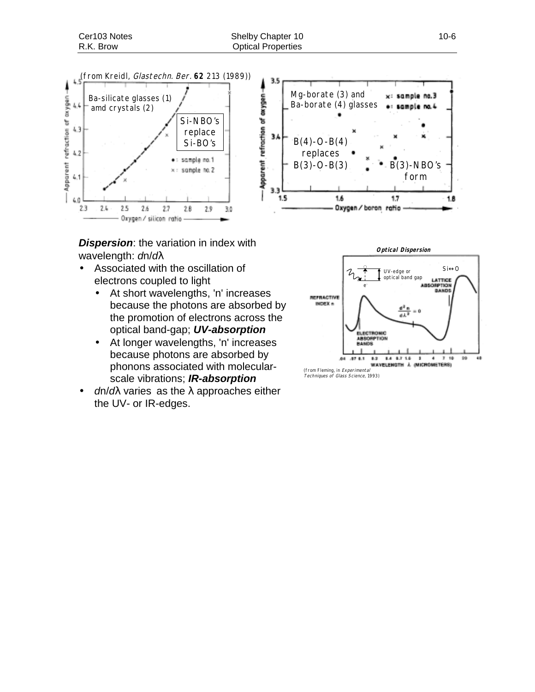

*Dispersion*: the variation in index with wavelength: *d*n/*d*λ

- Associated with the oscillation of electrons coupled to light
	- At short wavelengths, 'n' increases because the photons are absorbed by the promotion of electrons across the optical band-gap; *UV-absorption*
	- At longer wavelengths, 'n' increases because photons are absorbed by phonons associated with molecularscale vibrations; *IR-absorption*
- *d*n/*d*λ varies as the λ approaches either the UV- or IR-edges.





(from Fleming, in Experimental<br>Techniques of Glass Science, 1993)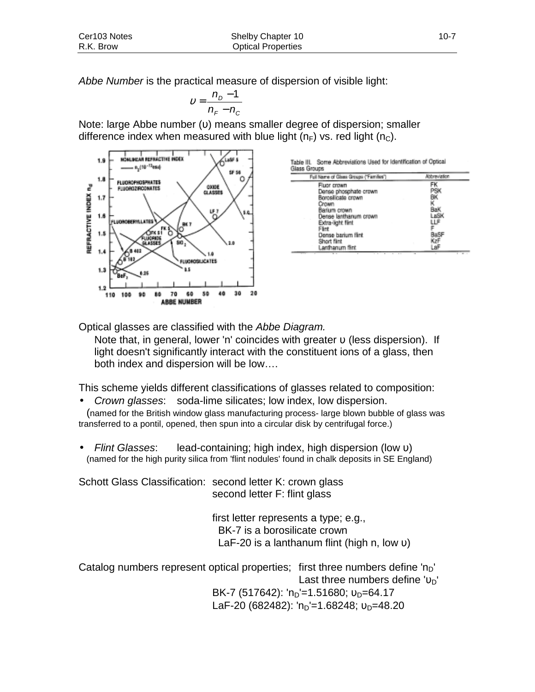*Abbe Number* is the practical measure of dispersion of visible light:

$$
v = \frac{n_D - 1}{n_F - n_C}
$$

Note: large Abbe number (υ) means smaller degree of dispersion; smaller difference index when measured with blue light  $(n_F)$  vs. red light  $(n_C)$ .



| Full Name of Glass Groups ("Families") | <b>Niteweaton</b> |
|----------------------------------------|-------------------|
| Fluor crown                            |                   |
| Dense phosphate crown                  | -9                |
| Borosilicate crown                     | BΚ                |
| Crown                                  | κ                 |
| Barium crown                           | BaK               |
| Dense lanthanum crown                  | LaSK              |
| Extra-light fiint                      | ۳                 |
| Flint                                  |                   |
| Dense barium fiint                     |                   |
| Short filmt                            |                   |
| Lanthanum fiint                        | Ш                 |

Optical glasses are classified with the *Abbe Diagram.*

Note that, in general, lower 'n' coincides with greater  $\nu$  (less dispersion). If light doesn't significantly interact with the constituent ions of a glass, then both index and dispersion will be low….

This scheme yields different classifications of glasses related to composition:

• *Crown glasses*: soda-lime silicates; low index, low dispersion.

(named for the British window glass manufacturing process- large blown bubble of glass was transferred to a pontil, opened, then spun into a circular disk by centrifugal force.)

• *Flint Glasses*: lead-containing; high index, high dispersion (low υ) (named for the high purity silica from 'flint nodules' found in chalk deposits in SE England)

Schott Glass Classification: second letter K: crown glass second letter F: flint glass

> first letter represents a type; e.g., BK-7 is a borosilicate crown LaF-20 is a lanthanum flint (high n, low υ)

Catalog numbers represent optical properties; first three numbers define  $n_D$ Last three numbers define ' $v_D$ ' BK-7 (517642): 'n<sub>D</sub>'=1.51680;  $v_D=64.17$ LaF-20 (682482):  $n_D=1.68248$ ;  $v_D=48.20$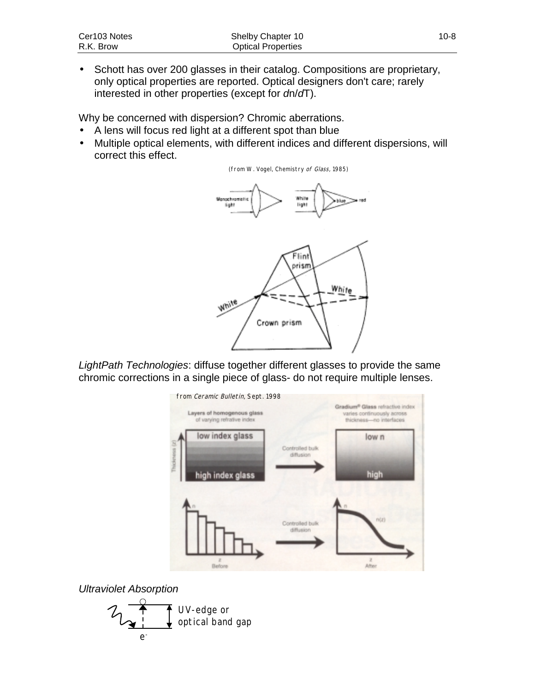• Schott has over 200 glasses in their catalog. Compositions are proprietary, only optical properties are reported. Optical designers don't care; rarely interested in other properties (except for *d*n/*d*T).

Why be concerned with dispersion? Chromic aberrations.

- A lens will focus red light at a different spot than blue
- Multiple optical elements, with different indices and different dispersions, will correct this effect.





*LightPath Technologies*: diffuse together different glasses to provide the same chromic corrections in a single piece of glass- do not require multiple lenses.



*Ultraviolet Absorption*

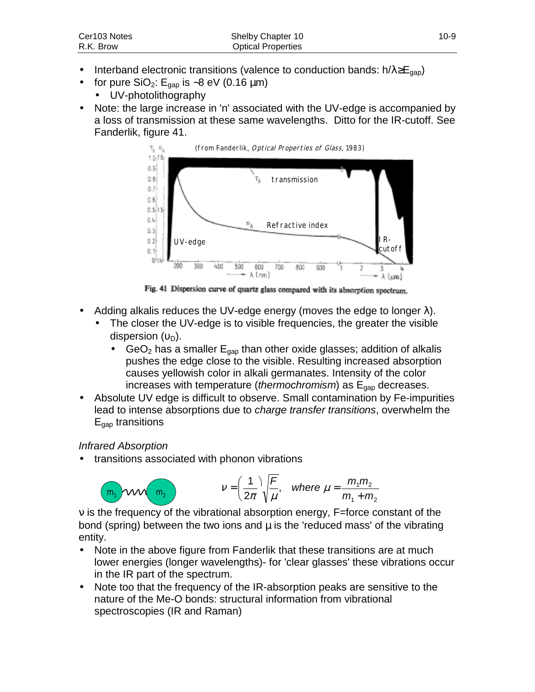- Interband electronic transitions (valence to conduction bands:  $h/\lambda \ge E_{\text{gap}}$ )
	- for pure SiO<sub>2</sub>: E<sub>gap</sub> is ~8 eV (0.16 µm)
	- UV-photolithography
- Note: the large increase in 'n' associated with the UV-edge is accompanied by a loss of transmission at these same wavelengths. Ditto for the IR-cutoff. See Fanderlik, figure 41.



Fig. 41 Dispersion curve of quartz glass compared with its absorption spectrum.

- Adding alkalis reduces the UV-edge energy (moves the edge to longer  $λ$ ).
	- The closer the UV-edge is to visible frequencies, the greater the visible dispersion  $(v_D)$ .
		- $GeO<sub>2</sub>$  has a smaller  $E<sub>gap</sub>$  than other oxide glasses; addition of alkalis pushes the edge close to the visible. Resulting increased absorption causes yellowish color in alkali germanates. Intensity of the color increases with temperature (*thermochromism*) as E<sub>gap</sub> decreases.
- Absolute UV edge is difficult to observe. Small contamination by Fe-impurities lead to intense absorptions due to *charge transfer transitions*, overwhelm the  $E_{\text{gap}}$  transitions

## *Infrared Absorption*

• transitions associated with phonon vibrations

$$
\begin{array}{ccc}\nm_1 & \text{VM} & m_2\n\end{array}\n\qquad \qquad \nu = \left(\frac{1}{2\pi}\right)\sqrt{\frac{F}{\mu}}, \quad \text{where } \mu = \frac{m_1 m_2}{m_1 + m_2}
$$

ν is the frequency of the vibrational absorption energy, F=force constant of the bond (spring) between the two ions and  $\mu$  is the 'reduced mass' of the vibrating entity.

- Note in the above figure from Fanderlik that these transitions are at much lower energies (longer wavelengths)- for 'clear glasses' these vibrations occur in the IR part of the spectrum.
- Note too that the frequency of the IR-absorption peaks are sensitive to the nature of the Me-O bonds: structural information from vibrational spectroscopies (IR and Raman)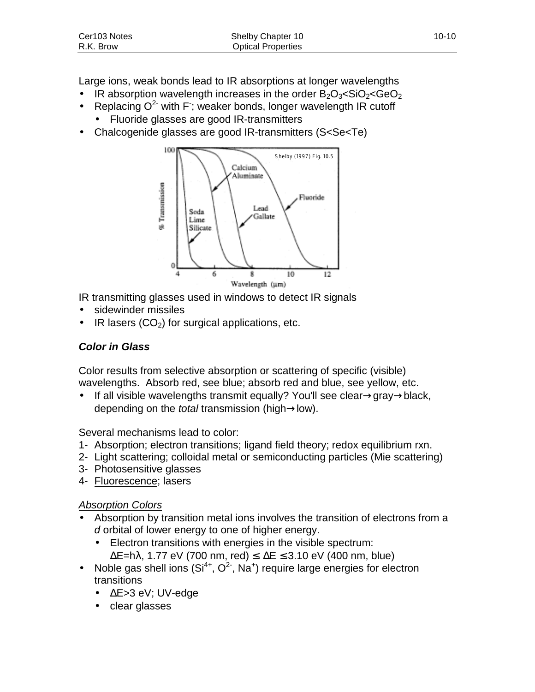| Cer103 Notes | Shelby Chapter 10         | $10 - 10$ |
|--------------|---------------------------|-----------|
| R.K. Brow    | <b>Optical Properties</b> |           |

Large ions, weak bonds lead to IR absorptions at longer wavelengths

- IR absorption wavelength increases in the order  $B_2O_3 <$ SiO<sub>2</sub><GeO<sub>2</sub>
- Replacing  $O^2$  with F; weaker bonds, longer wavelength IR cutoff
	- Fluoride glasses are good IR-transmitters
- Chalcogenide glasses are good IR-transmitters (S<Se<Te)



IR transmitting glasses used in windows to detect IR signals

- sidewinder missiles
- IR lasers  $(CO<sub>2</sub>)$  for surgical applications, etc.

### *Color in Glass*

Color results from selective absorption or scattering of specific (visible) wavelengths. Absorb red, see blue; absorb red and blue, see yellow, etc.

• If all visible wavelengths transmit equally? You'll see clear→gray→black, depending on the *total* transmission (high→low).

Several mechanisms lead to color:

- 1- Absorption; electron transitions; ligand field theory; redox equilibrium rxn.
- 2- Light scattering; colloidal metal or semiconducting particles (Mie scattering)
- 3- Photosensitive glasses
- 4- Fluorescence; lasers

#### *Absorption Colors*

- Absorption by transition metal ions involves the transition of electrons from a *d* orbital of lower energy to one of higher energy.
	- Electron transitions with energies in the visible spectrum:  $\Delta$ E=hλ, 1.77 eV (700 nm, red) ≤  $\Delta$ E ≤ 3.10 eV (400 nm, blue)
- Noble gas shell ions  $(Si^{4+}, O^2, Na^+)$  require large energies for electron transitions
	- ∆E>3 eV; UV-edge
	- clear glasses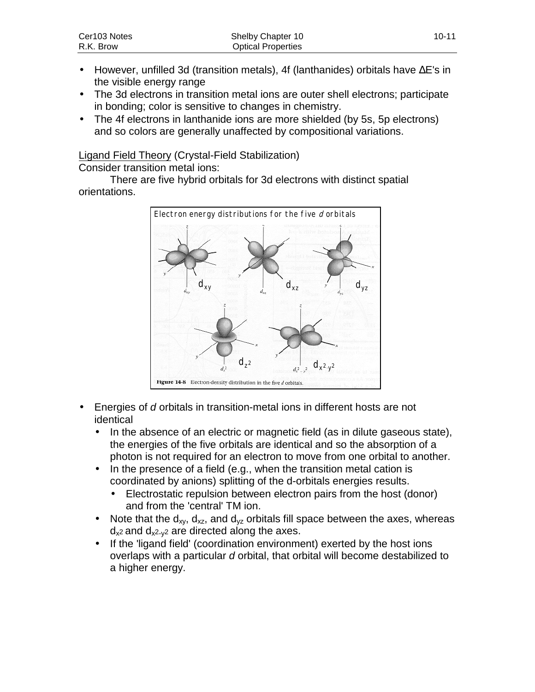- However, unfilled 3d (transition metals), 4f (lanthanides) orbitals have ∆E's in the visible energy range
- The 3d electrons in transition metal ions are outer shell electrons; participate in bonding; color is sensitive to changes in chemistry.
- The 4f electrons in lanthanide ions are more shielded (by 5s, 5p electrons) and so colors are generally unaffected by compositional variations.

Ligand Field Theory (Crystal-Field Stabilization)

Consider transition metal ions:

There are five hybrid orbitals for 3d electrons with distinct spatial orientations.



- Energies of *d* orbitals in transition-metal ions in different hosts are not identical
	- In the absence of an electric or magnetic field (as in dilute gaseous state), the energies of the five orbitals are identical and so the absorption of a photon is not required for an electron to move from one orbital to another.
	- In the presence of a field (e.g., when the transition metal cation is coordinated by anions) splitting of the d-orbitals energies results.
		- Electrostatic repulsion between electron pairs from the host (donor) and from the 'central' TM ion.
	- Note that the  $d_{xx}$ ,  $d_{xz}$ , and  $d_{yz}$  orbitals fill space between the axes, whereas  $d_{x^2}$  and  $d_{x^2-y^2}$  are directed along the axes.
	- If the 'ligand field' (coordination environment) exerted by the host ions overlaps with a particular *d* orbital, that orbital will become destabilized to a higher energy.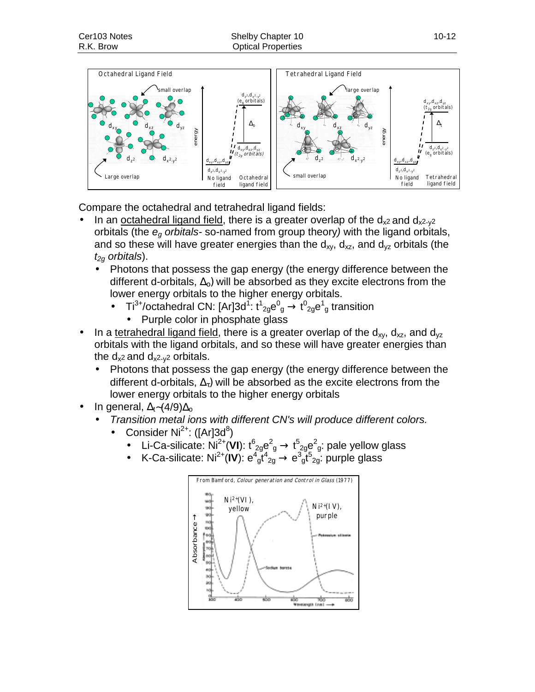

Compare the octahedral and tetrahedral ligand fields:

- In an octahedral ligand field, there is a greater overlap of the  $d_{x^2}$  and  $d_{x^2-y^2}$ orbitals (the *eg orbitals-* so-named from group theory*)* with the ligand orbitals, and so these will have greater energies than the  $d_{xy}$ ,  $d_{xz}$ , and  $d_{yz}$  orbitals (the *t2g orbitals*).
	- Photons that possess the gap energy (the energy difference between the different d-orbitals,  $\Delta_0$ ) will be absorbed as they excite electrons from the lower energy orbitals to the higher energy orbitals.
		- Ti<sup>3+</sup>/octahedral CN: [Ar]3d<sup>1</sup>:  $t^1{}_{29}e^0{}_g \rightarrow t^0{}_{29}e^1{}_g$  transition
			- Purple color in phosphate glass
- In a tetrahedral ligand field, there is a greater overlap of the  $d_{xy}$ ,  $d_{xz}$ , and  $d_{yz}$ orbitals with the ligand orbitals, and so these will have greater energies than the  $d_{x^2}$  and  $d_{x^2-y^2}$  orbitals.
	- Photons that possess the gap energy (the energy difference between the different d-orbitals,  $\Delta_{\tau}$ ) will be absorbed as the excite electrons from the lower energy orbitals to the higher energy orbitals
- In general,  $\Delta_t$ ~(4/9) $\Delta_o$ 
	- *Transition metal ions with different CN's will produce different colors.*
		- Consider Ni<sup>2+</sup>: ([Ar]3d<sup>8</sup>)
			- Li-Ca-silicate: Ni<sup>2+</sup>(VI):  $t^6{}_{2g}e^2{}_g \rightarrow t^5{}_{2g}e^2{}_g$ : pale yellow glass
			- K-Ca-silicate: Ni<sup>2+</sup>(IV):  $e^4{}_{g}t^4{}_{2g} \rightarrow e^3{}_{g}t^5{}_{2g}$ : purple glass

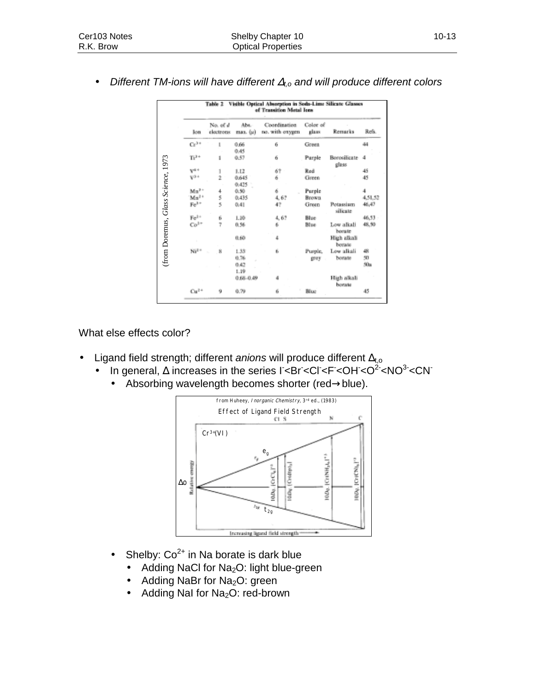| Color of<br>Coordination<br>Remarks<br>glass<br>no. with oxygen<br>Green<br>Parple<br>Borosilicate<br>glass<br>Red<br>Green<br>Purple<br>Brown<br>Green<br>Potassiam<br>silicate<br>Blue<br>Blue<br>Low alkali<br>borate<br>High alkali<br>borate | Refs.<br>44<br>4<br>45<br>45<br>4<br>4.51.52<br>46,47<br>46,53<br>48,50                                                                                                                                    |
|---------------------------------------------------------------------------------------------------------------------------------------------------------------------------------------------------------------------------------------------------|------------------------------------------------------------------------------------------------------------------------------------------------------------------------------------------------------------|
|                                                                                                                                                                                                                                                   |                                                                                                                                                                                                            |
|                                                                                                                                                                                                                                                   |                                                                                                                                                                                                            |
|                                                                                                                                                                                                                                                   |                                                                                                                                                                                                            |
|                                                                                                                                                                                                                                                   |                                                                                                                                                                                                            |
|                                                                                                                                                                                                                                                   |                                                                                                                                                                                                            |
|                                                                                                                                                                                                                                                   |                                                                                                                                                                                                            |
|                                                                                                                                                                                                                                                   |                                                                                                                                                                                                            |
|                                                                                                                                                                                                                                                   |                                                                                                                                                                                                            |
|                                                                                                                                                                                                                                                   |                                                                                                                                                                                                            |
|                                                                                                                                                                                                                                                   |                                                                                                                                                                                                            |
|                                                                                                                                                                                                                                                   |                                                                                                                                                                                                            |
|                                                                                                                                                                                                                                                   |                                                                                                                                                                                                            |
| Purple,<br>Low alkali                                                                                                                                                                                                                             | 48                                                                                                                                                                                                         |
| borate<br>grey                                                                                                                                                                                                                                    | 50                                                                                                                                                                                                         |
|                                                                                                                                                                                                                                                   | 50a                                                                                                                                                                                                        |
|                                                                                                                                                                                                                                                   |                                                                                                                                                                                                            |
|                                                                                                                                                                                                                                                   |                                                                                                                                                                                                            |
| Blue                                                                                                                                                                                                                                              | 45                                                                                                                                                                                                         |
|                                                                                                                                                                                                                                                   |                                                                                                                                                                                                            |
| from Huheey, Inorganic Chemistry, 3rd ed., (1983)                                                                                                                                                                                                 |                                                                                                                                                                                                            |
|                                                                                                                                                                                                                                                   |                                                                                                                                                                                                            |
|                                                                                                                                                                                                                                                   |                                                                                                                                                                                                            |
| <b>Effect of Ligand Field Strength</b>                                                                                                                                                                                                            |                                                                                                                                                                                                            |
| N                                                                                                                                                                                                                                                 | с                                                                                                                                                                                                          |
|                                                                                                                                                                                                                                                   |                                                                                                                                                                                                            |
|                                                                                                                                                                                                                                                   |                                                                                                                                                                                                            |
|                                                                                                                                                                                                                                                   |                                                                                                                                                                                                            |
|                                                                                                                                                                                                                                                   |                                                                                                                                                                                                            |
|                                                                                                                                                                                                                                                   |                                                                                                                                                                                                            |
| CrINH <sub>AL</sub> I"<br>rettet                                                                                                                                                                                                                  | CHCNLI <sup>12</sup>                                                                                                                                                                                       |
|                                                                                                                                                                                                                                                   |                                                                                                                                                                                                            |
| g                                                                                                                                                                                                                                                 |                                                                                                                                                                                                            |
|                                                                                                                                                                                                                                                   |                                                                                                                                                                                                            |
|                                                                                                                                                                                                                                                   |                                                                                                                                                                                                            |
|                                                                                                                                                                                                                                                   |                                                                                                                                                                                                            |
| Increasing ligared field strength                                                                                                                                                                                                                 |                                                                                                                                                                                                            |
|                                                                                                                                                                                                                                                   | High alkali<br>borate<br>field strength; different anions will produce different $\Delta_{t,o}$<br>jeneral, $\Delta$ increases in the series I<br>^2 <<br>Absorbing wavelength becomes shorter (red→blue). |

• *Different TM-ions will have different* ∆*t,o and will produce different colors*

What else effects color?

- Ligand field strength; different *anions* will produce different ∆<sub>t,o</sub>
	- In general, ∆ increases in the series I<Br<Cl<F<OH<O<sup>2</sup><NO<sup>3-</sup><CN
		- Absorbing wavelength becomes shorter (red→blue).



- Shelby:  $Co^{2+}$  in Na borate is dark blue
	- Adding NaCl for Na<sub>2</sub>O: light blue-green
	- Adding NaBr for Na<sub>2</sub>O: green
	-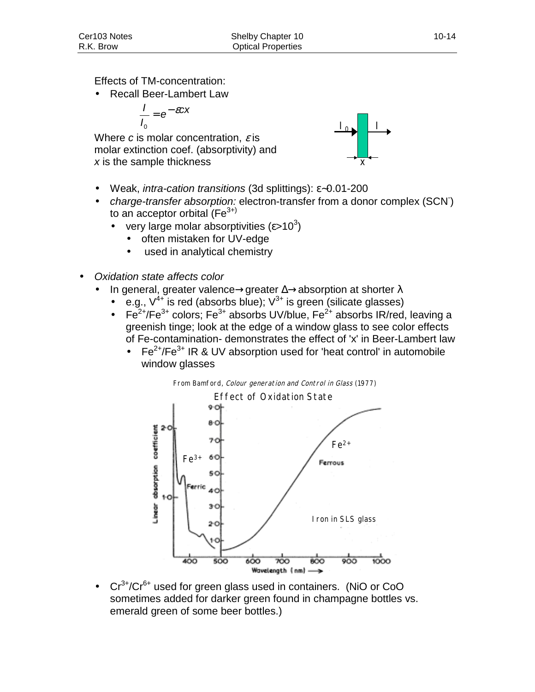Effects of TM-concentration:

• Recall Beer-Lambert Law

$$
\frac{I}{I_0} = e^{-\mathcal{E}CX}
$$

Where *c* is molar concentration, ε is molar extinction coef. (absorptivity) and *x* is the sample thickness



- Weak, *intra-cation transitions* (3d splittings): ε∼0.01-200
- *charge-transfer absorption:* electron-transfer from a donor complex (SCN- ) to an acceptor orbital ( $Fe<sup>3+</sup>$ )
	- very large molar absorptivities ( $\varepsilon$ >10<sup>3</sup>)
		- often mistaken for UV-edge
		- used in analytical chemistry
- *Oxidation state affects color*
	- In general, greater valence→greater  $\Delta \rightarrow$ absorption at shorter  $\lambda$ 
		- e.g.,  $V^{4+}$  is red (absorbs blue);  $V^{3+}$  is green (silicate glasses)
		- Fe<sup>2+</sup>/Fe<sup>3+</sup> colors; Fe<sup>3+</sup> absorbs UV/blue, Fe<sup>2+</sup> absorbs IR/red, leaving a greenish tinge; look at the edge of a window glass to see color effects of Fe-contamination- demonstrates the effect of 'x' in Beer-Lambert law
			- $Fe^{2+}/Fe^{3+}$  IR & UV absorption used for 'heat control' in automobile window glasses



•  $Cr^{3+}/Cr^{6+}$  used for green glass used in containers. (NiO or CoO sometimes added for darker green found in champagne bottles vs. emerald green of some beer bottles.)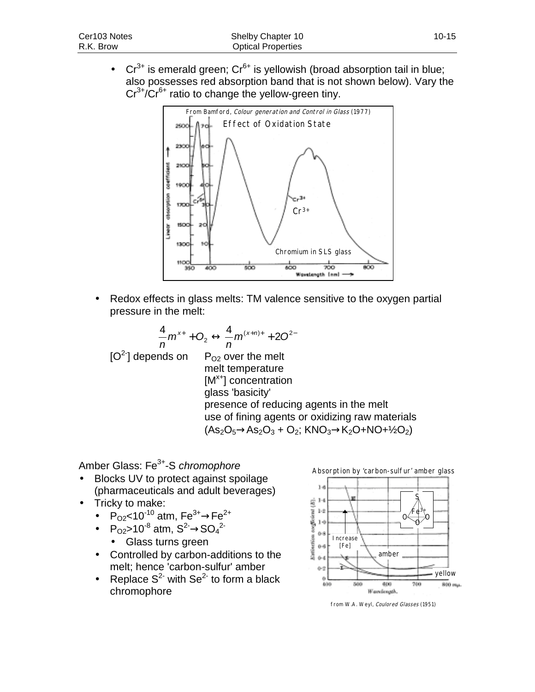• Cr<sup>3+</sup> is emerald green; Cr<sup>6+</sup> is yellowish (broad absorption tail in blue; also possesses red absorption band that is not shown below). Vary the  $Cr^{3+}/Cr^{6+}$  ratio to change the yellow-green tiny.



• Redox effects in glass melts: TM valence sensitive to the oxygen partial pressure in the melt:

 $[O^2]$  depends on  $P_{O2}$  over the melt melt temperature  $[M<sup>x+</sup>]$  concentration glass 'basicity' presence of reducing agents in the melt use of fining agents or oxidizing raw materials  $(As_2O_5 \rightarrow As_2O_3 + O_2$ ; KNO<sub>3</sub> $\rightarrow$ K<sub>2</sub>O+NO+<sup>1</sup>/<sub>2</sub>O<sub>2</sub>)  $\frac{4}{5}m^{x+} + O_2 \leftrightarrow \frac{4}{5}m^{(x+n)+} + 2O^{2-}$ *n*  $m^{x+}$  + O *n*  $x + 0 \infty$ ,  $x + m(x+n)$ 

Amber Glass: Fe3+-S *chromophore*

- Blocks UV to protect against spoilage (pharmaceuticals and adult beverages)
- Tricky to make:
	- $P_{O2}$ <10<sup>-10</sup> atm,  $Fe^{3+} \rightarrow Fe^{2+}$
	- P<sub>O2</sub>>10<sup>-8</sup> atm,  $S^2 \rightarrow SO_4^2$ 
		- Glass turns green
	- Controlled by carbon-additions to the melt; hence 'carbon-sulfur' amber
	- Replace  $S^2$  with  $Se^{2}$  to form a black chromophore



from W.A. Weyl, Coulored Glasses (1951)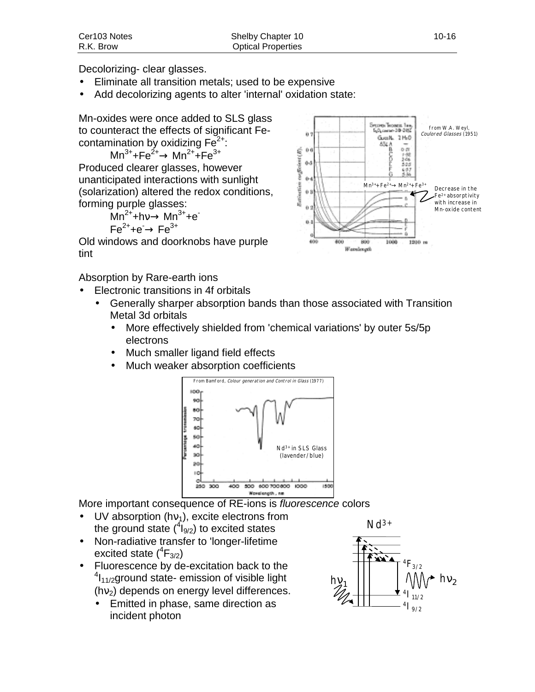Decolorizing- clear glasses.

- Eliminate all transition metals; used to be expensive
- Add decolorizing agents to alter 'internal' oxidation state:

Mn-oxides were once added to SLS glass to counteract the effects of significant Fecontamination by oxidizing  $Fe<sup>2+</sup>$ :

 $Mn^{3+}+Fe^{2+} \rightarrow Mn^{2+}+Fe^{3+}$ Produced clearer glasses, however unanticipated interactions with sunlight (solarization) altered the redox conditions, forming purple glasses:

> $Mn^{2+}+hv \rightarrow Mn^{3+}+e^ \mathsf{Fe}^{2+}$ +e $\rightarrow$  Fe $^{3+}$

Old windows and doorknobs have purple tint

Absorption by Rare-earth ions

- Electronic transitions in 4f orbitals
	- Generally sharper absorption bands than those associated with Transition Metal 3d orbitals
		- More effectively shielded from 'chemical variations' by outer 5s/5p electrons
		- Much smaller ligand field effects
		- Much weaker absorption coefficients



More important consequence of RE-ions is *fluorescence* colors

- UV absorption (hv<sub>1</sub>), excite electrons from the ground state  $(^4I_{9/2})$  to excited states
- Non-radiative transfer to 'longer-lifetime excited state  $(^{4}F_{3/2})$
- Fluorescence by de-excitation back to the <sup>4</sup>l<sub>11/2</sub>ground state- emission of visible light  $(hv<sub>2</sub>)$  depends on energy level differences.
	- Emitted in phase, same direction as incident photon



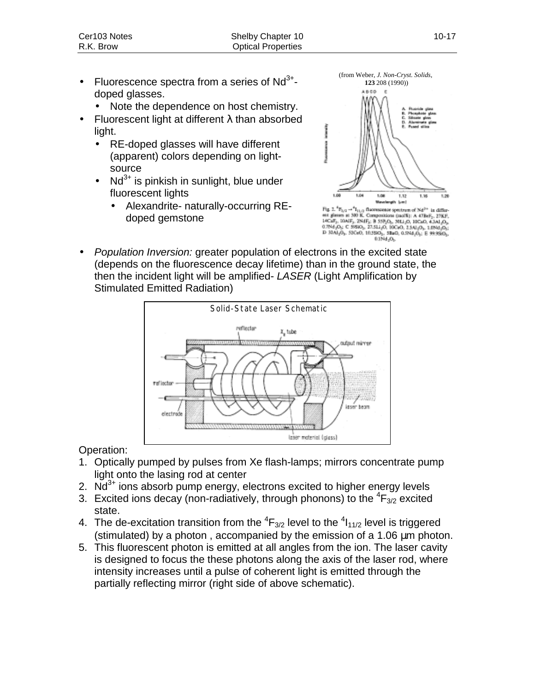- Fluorescence spectra from a series of  $Nd^{3+}$ doped glasses.
	- Note the dependence on host chemistry.
- **Fluorescent light at different λ than absorbed** light.
	- RE-doped glasses will have different (apparent) colors depending on lightsource
	- $Nd^{3+}$  is pinkish in sunlight, blue under fluorescent lights
		- Alexandrite- naturally-occurring REdoped gemstone



(from Weber, *J. Non-Cryst. Solids*,

est giases at 30 K. Composition (not5): A 478eF, 27KF, 17KF, 17KF, 284g, 8 59kg, 38120, 17KF, 07KF, 07KF, 07KF, 07KF, 07KF, 07KF, 07KF, 07KF, 07KF, 07KF, 07KF, 07KF, 07KF, 07KF, 07KF, 07KF, 07KF, 07KF, 07KF, 07KF, 07KF, 07 0.1Nd.O.

• *Population Inversion:* greater population of electrons in the excited state (depends on the fluorescence decay lifetime) than in the ground state, the then the incident light will be amplified- *LASER* (Light Amplification by Stimulated Emitted Radiation)



Operation:

- 1. Optically pumped by pulses from Xe flash-lamps; mirrors concentrate pump light onto the lasing rod at center
- 2.  $Nd^{3+}$  ions absorb pump energy, electrons excited to higher energy levels
- 3. Excited ions decay (non-radiatively, through phonons) to the  ${}^{4}F_{3/2}$  excited state.
- 4. The de-excitation transition from the  ${}^{4}F_{3/2}$  level to the  ${}^{4}I_{11/2}$  level is triggered (stimulated) by a photon , accompanied by the emission of a 1.06 µm photon.
- 5. This fluorescent photon is emitted at all angles from the ion. The laser cavity is designed to focus the these photons along the axis of the laser rod, where intensity increases until a pulse of coherent light is emitted through the partially reflecting mirror (right side of above schematic).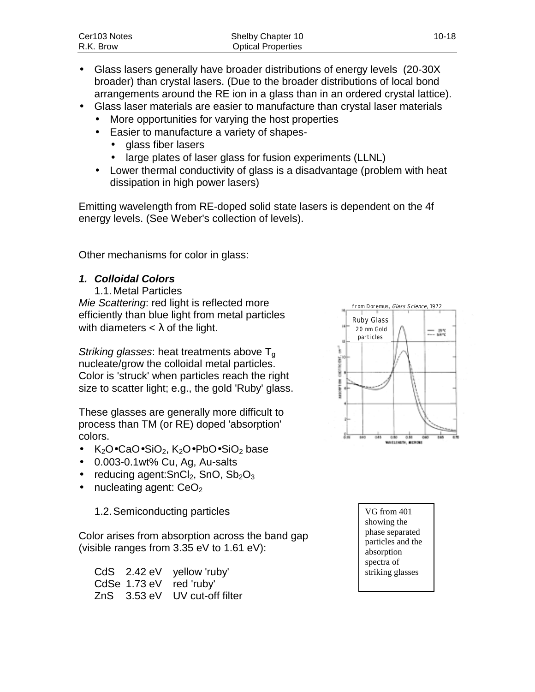| Cer103 Notes | Shelby Chapter 10         | $10 - 18$ |
|--------------|---------------------------|-----------|
| R.K. Brow    | <b>Optical Properties</b> |           |

- Glass lasers generally have broader distributions of energy levels (20-30X broader) than crystal lasers. (Due to the broader distributions of local bond arrangements around the RE ion in a glass than in an ordered crystal lattice).
- Glass laser materials are easier to manufacture than crystal laser materials
	- More opportunities for varying the host properties
	- Easier to manufacture a variety of shapes-
		- glass fiber lasers
		- large plates of laser glass for fusion experiments (LLNL)
	- Lower thermal conductivity of glass is a disadvantage (problem with heat dissipation in high power lasers)

Emitting wavelength from RE-doped solid state lasers is dependent on the 4f energy levels. (See Weber's collection of levels).

Other mechanisms for color in glass:

#### *1. Colloidal Colors*

1.1. Metal Particles *Mie Scattering*: red light is reflected more efficiently than blue light from metal particles with diameters  $< \lambda$  of the light.

*Striking glasses:* heat treatments above T<sub>q</sub> nucleate/grow the colloidal metal particles. Color is 'struck' when particles reach the right size to scatter light; e.g., the gold 'Ruby' glass.

These glasses are generally more difficult to process than TM (or RE) doped 'absorption' colors.

- $K_2O \bullet CaO \bullet SiO_2$ ,  $K_2O \bullet PbO \bullet SiO_2$  base
- 0.003-0.1wt% Cu, Ag, Au-salts
- reducing agent: $SnCl<sub>2</sub>$ , SnO,  $Sb<sub>2</sub>O<sub>3</sub>$
- nucleating agent:  $CeO<sub>2</sub>$

1.2. Semiconducting particles

Color arises from absorption across the band gap (visible ranges from 3.35 eV to 1.61 eV):

CdS 2.42 eV yellow 'ruby' CdSe 1.73 eV red 'ruby' ZnS 3.53 eV UV cut-off filter



VG from 401 showing the phase separated particles and the absorption spectra of striking glasses